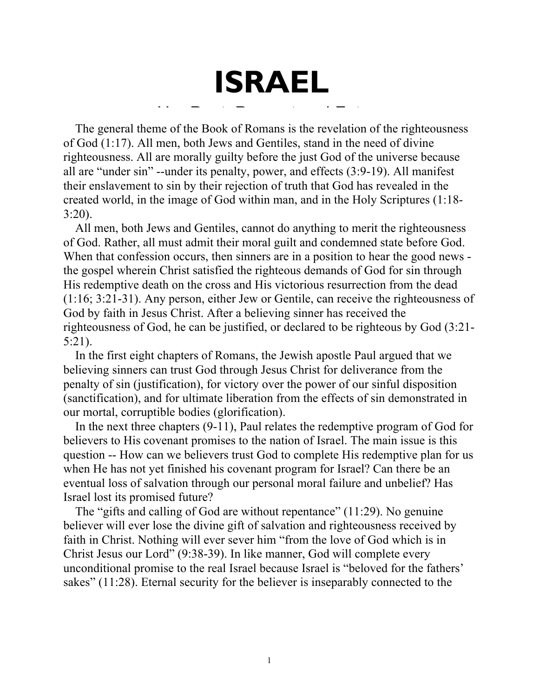The general theme of the Book of Romans is the revelation of the righteousness of God (1:17). All men, both Jews and Gentiles, stand in the need of divine righteousness. All are morally guilty before the just God of the universe because all are "under sin" --under its penalty, power, and effects (3:9-19). All manifest their enslavement to sin by their rejection of truth that God has revealed in the property of  $C_{\text{old}}$  within man, and in the Hely Serintures (1:1) created world, in the image of God within man, and in the Holy Scriptures (1:18- 3:20). Her Past, Present and Future of the Book of Romans is the revelation of<br>en, both Jews and Gentiles, stand in the ne<br>e morally quilty before the just God of the

**ISRAEL**

All men, both Jews and Gentiles, cannot do anything to merit the righteousness of God. Rather, all must admit their moral guilt and condemned state before God. When that confession occurs, then sinners are in a position to hear the good news the gospel wherein Christ satisfied the righteous demands of God for sin through His redemptive death on the cross and His victorious resurrection from the dead  $(1:16; 3:21-31)$ . Any person, either Jew or Gentile, can receive the righteousness of God by faith in Jesus Christ. After a believing sinner has received the righteousness of God, he can be justified, or declared to be righteous by God  $(3:21$ -5:21).  $T, 5.21-51$ . Any person, enner few or Gentric, can receive the right CONCLUSION.......................................................................................................................... 8

In the first eight chapters of Romans, the Jewish apostle Paul argued that we believing sinners can trust God through Jesus Christ for deliverance from the penalty of sin (justification), for victory over the power of our sinful disposition (sanctification), and for ultimate liberation from the effects of sin demonstrated in our mortal, corruptible bodies (glorification).  $\nu$ ing sinners can trust  $\sigma$ od through Jesus Unrist for defiverance from

In the next three chapters (9-11), Paul relates the redemptive program of God for believers to His covenant promises to the nation of Israel. The main issue is this question -- How can we believers trust God to complete His redemptive plan for us when He has not yet finished his covenant program for Israel? Can there be an eventual loss of salvation through our personal moral failure and unbelief? Has Israel lost its promised future? ITE has not yet rimshed his covenant program for israel! Can there

The "gifts and calling of God are without repentance" (11:29). No genuine believer will ever lose the divine gift of salvation and righteousness received by faith in Christ. Nothing will ever sever him "from the love of God which is in Christ Jesus our Lord" (9:38-39). In like manner, God will complete every unconditional promise to the real Israel because Israel is "beloved for the fathers' sakes" (11:28). Eternal security for the believer is inseparably connected to the ISRAEL HAS BEEN BLINDED OR HARDENED (11:7-10) ............................................. 23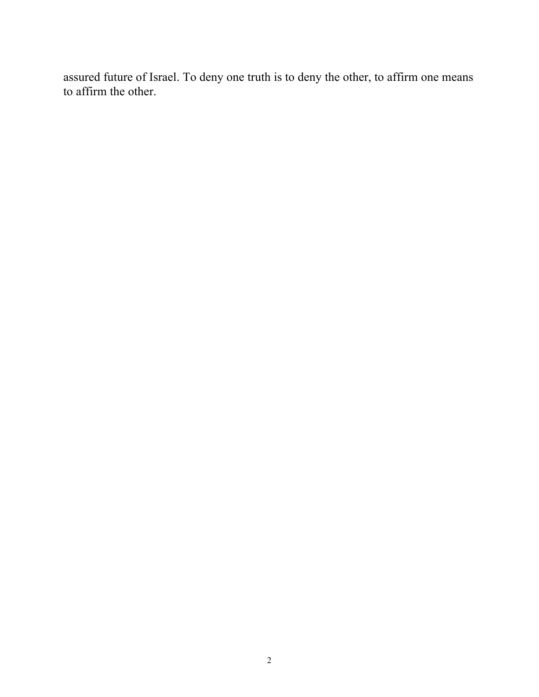assured future of Israel. To deny one truth is to deny the other, to affirm one means to affirm the other.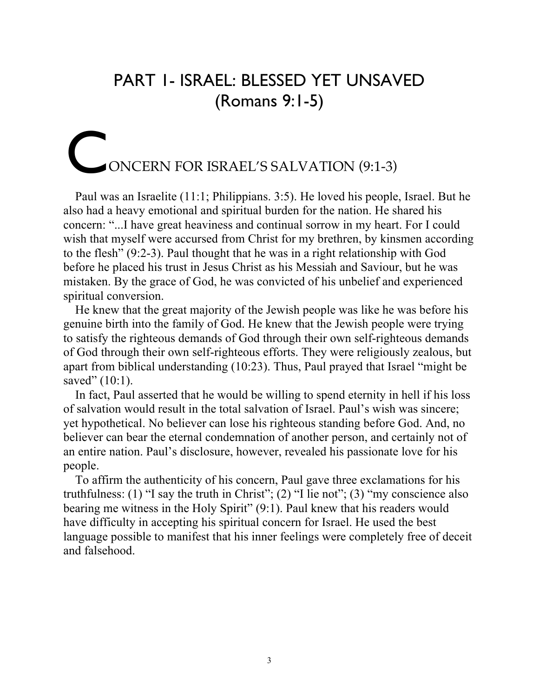### PART 1- ISRAEL: BLESSED YET UNSAVED (Romans 9:1-5)

# ONCERN FOR ISRAEL'S SALVATION (9:1-3) C

Paul was an Israelite (11:1; Philippians. 3:5). He loved his people, Israel. But he also had a heavy emotional and spiritual burden for the nation. He shared his concern: "...I have great heaviness and continual sorrow in my heart. For I could wish that myself were accursed from Christ for my brethren, by kinsmen according to the flesh" (9:2-3). Paul thought that he was in a right relationship with God before he placed his trust in Jesus Christ as his Messiah and Saviour, but he was mistaken. By the grace of God, he was convicted of his unbelief and experienced spiritual conversion.

He knew that the great majority of the Jewish people was like he was before his genuine birth into the family of God. He knew that the Jewish people were trying to satisfy the righteous demands of God through their own self-righteous demands of God through their own self-righteous efforts. They were religiously zealous, but apart from biblical understanding (10:23). Thus, Paul prayed that Israel "might be saved" (10:1).

In fact, Paul asserted that he would be willing to spend eternity in hell if his loss of salvation would result in the total salvation of Israel. Paul's wish was sincere; yet hypothetical. No believer can lose his righteous standing before God. And, no believer can bear the eternal condemnation of another person, and certainly not of an entire nation. Paul's disclosure, however, revealed his passionate love for his people.

To affirm the authenticity of his concern, Paul gave three exclamations for his truthfulness: (1) "I say the truth in Christ"; (2) "I lie not"; (3) "my conscience also bearing me witness in the Holy Spirit" (9:1). Paul knew that his readers would have difficulty in accepting his spiritual concern for Israel. He used the best language possible to manifest that his inner feelings were completely free of deceit and falsehood.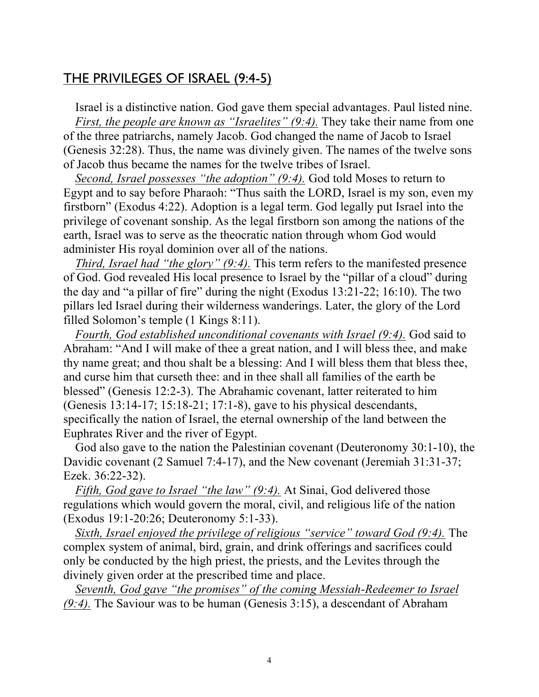### THE PRIVILEGES OF ISRAEL (9:4-5)

Israel is a distinctive nation. God gave them special advantages. Paul listed nine. *First, the people are known as "Israelites" (9:4).* They take their name from one of the three patriarchs, namely Jacob. God changed the name of Jacob to Israel (Genesis 32:28). Thus, the name was divinely given. The names of the twelve sons of Jacob thus became the names for the twelve tribes of Israel.

*Second, Israel possesses "the adoption" (9:4).* God told Moses to return to Egypt and to say before Pharaoh: "Thus saith the LORD, Israel is my son, even my firstborn" (Exodus 4:22). Adoption is a legal term. God legally put Israel into the privilege of covenant sonship. As the legal firstborn son among the nations of the earth, Israel was to serve as the theocratic nation through whom God would administer His royal dominion over all of the nations.

*Third, Israel had "the glory" (9:4).* This term refers to the manifested presence of God. God revealed His local presence to Israel by the "pillar of a cloud" during the day and "a pillar of fire" during the night (Exodus 13:21-22; 16:10). The two pillars led Israel during their wilderness wanderings. Later, the glory of the Lord filled Solomon's temple (1 Kings 8:11).

*Fourth, God established unconditional covenants with Israel (9:4).* God said to Abraham: "And I will make of thee a great nation, and I will bless thee, and make thy name great; and thou shalt be a blessing: And I will bless them that bless thee, and curse him that curseth thee: and in thee shall all families of the earth be blessed" (Genesis 12:2-3). The Abrahamic covenant, latter reiterated to him (Genesis 13:14-17; 15:18-21; 17:1-8), gave to his physical descendants, specifically the nation of Israel, the eternal ownership of the land between the Euphrates River and the river of Egypt.

God also gave to the nation the Palestinian covenant (Deuteronomy 30:1-10), the Davidic covenant (2 Samuel 7:4-17), and the New covenant (Jeremiah 31:31-37; Ezek. 36:22-32).

*Fifth, God gave to Israel "the law" (9:4).* At Sinai, God delivered those regulations which would govern the moral, civil, and religious life of the nation (Exodus 19:1-20:26; Deuteronomy 5:1-33).

*Sixth, Israel enjoyed the privilege of religious "service" toward God (9:4).* The complex system of animal, bird, grain, and drink offerings and sacrifices could only be conducted by the high priest, the priests, and the Levites through the divinely given order at the prescribed time and place.

*Seventh, God gave "the promises" of the coming Messiah-Redeemer to Israel (9:4).* The Saviour was to be human (Genesis 3:15), a descendant of Abraham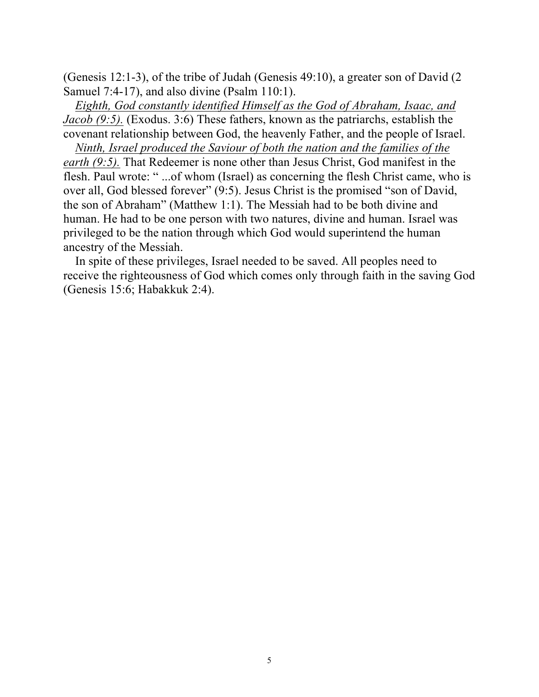(Genesis 12:1-3), of the tribe of Judah (Genesis 49:10), a greater son of David (2 Samuel 7:4-17), and also divine (Psalm 110:1).

*Eighth, God constantly identified Himself as the God of Abraham, Isaac, and Jacob (9:5).* (Exodus. 3:6) These fathers, known as the patriarchs, establish the covenant relationship between God, the heavenly Father, and the people of Israel.

*Ninth, Israel produced the Saviour of both the nation and the families of the earth (9:5).* That Redeemer is none other than Jesus Christ, God manifest in the flesh. Paul wrote: " ...of whom (Israel) as concerning the flesh Christ came, who is over all, God blessed forever" (9:5). Jesus Christ is the promised "son of David, the son of Abraham" (Matthew 1:1). The Messiah had to be both divine and human. He had to be one person with two natures, divine and human. Israel was privileged to be the nation through which God would superintend the human ancestry of the Messiah.

In spite of these privileges, Israel needed to be saved. All peoples need to receive the righteousness of God which comes only through faith in the saving God (Genesis 15:6; Habakkuk 2:4).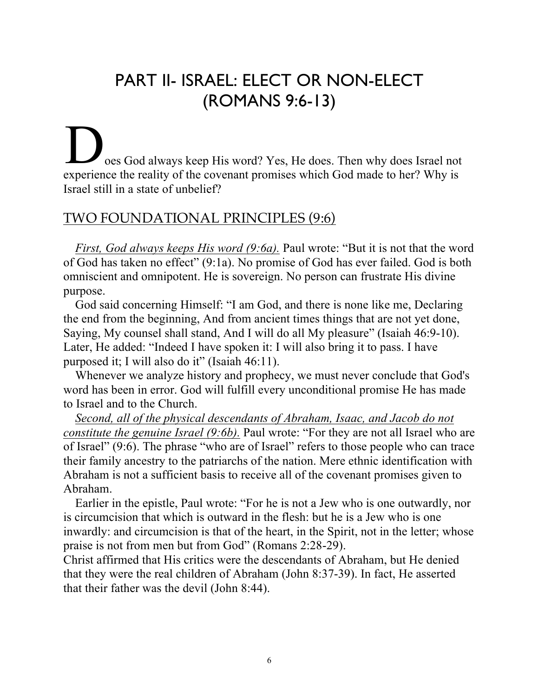# PART II- ISRAEL: ELECT OR NON-ELECT (ROMANS 9:6-13)

oes God always keep His word? Yes, He does. Then why does Israel not experience the reality of the covenant promises which God made to her? Why is Israel still in a state of unbelief?

### TWO FOUNDATIONAL PRINCIPLES (9:6)

*First, God always keeps His word (9:6a).* Paul wrote: "But it is not that the word of God has taken no effect" (9:1a). No promise of God has ever failed. God is both omniscient and omnipotent. He is sovereign. No person can frustrate His divine purpose.

God said concerning Himself: "I am God, and there is none like me, Declaring the end from the beginning, And from ancient times things that are not yet done, Saying, My counsel shall stand, And I will do all My pleasure" (Isaiah 46:9-10). Later, He added: "Indeed I have spoken it: I will also bring it to pass. I have purposed it; I will also do it" (Isaiah 46:11).

Whenever we analyze history and prophecy, we must never conclude that God's word has been in error. God will fulfill every unconditional promise He has made to Israel and to the Church.

*Second, all of the physical descendants of Abraham, Isaac, and Jacob do not constitute the genuine Israel (9:6b).* Paul wrote: "For they are not all Israel who are of Israel" (9:6). The phrase "who are of Israel" refers to those people who can trace their family ancestry to the patriarchs of the nation. Mere ethnic identification with Abraham is not a sufficient basis to receive all of the covenant promises given to Abraham.

Earlier in the epistle, Paul wrote: "For he is not a Jew who is one outwardly, nor is circumcision that which is outward in the flesh: but he is a Jew who is one inwardly: and circumcision is that of the heart, in the Spirit, not in the letter; whose praise is not from men but from God" (Romans 2:28-29).

Christ affirmed that His critics were the descendants of Abraham, but He denied that they were the real children of Abraham (John 8:37-39). In fact, He asserted that their father was the devil (John 8:44).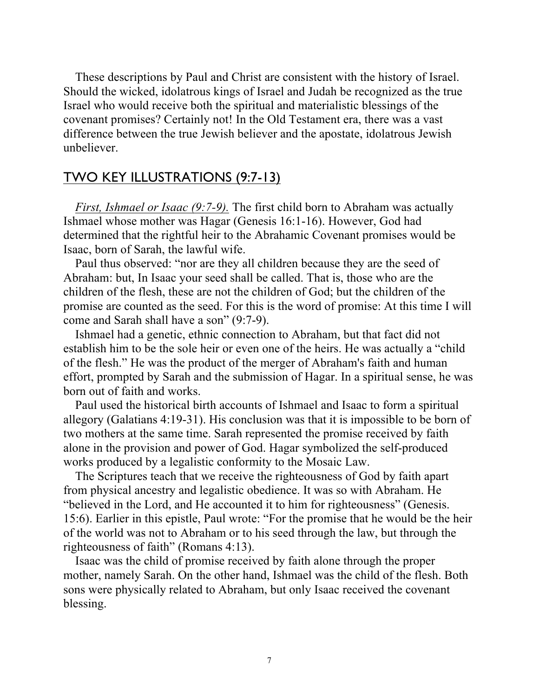These descriptions by Paul and Christ are consistent with the history of Israel. Should the wicked, idolatrous kings of Israel and Judah be recognized as the true Israel who would receive both the spiritual and materialistic blessings of the covenant promises? Certainly not! In the Old Testament era, there was a vast difference between the true Jewish believer and the apostate, idolatrous Jewish unbeliever.

### TWO KEY ILLUSTRATIONS (9:7-13)

*First, Ishmael or Isaac (9:7-9).* The first child born to Abraham was actually Ishmael whose mother was Hagar (Genesis 16:1-16). However, God had determined that the rightful heir to the Abrahamic Covenant promises would be Isaac, born of Sarah, the lawful wife.

Paul thus observed: "nor are they all children because they are the seed of Abraham: but, In Isaac your seed shall be called. That is, those who are the children of the flesh, these are not the children of God; but the children of the promise are counted as the seed. For this is the word of promise: At this time I will come and Sarah shall have a son" (9:7-9).

Ishmael had a genetic, ethnic connection to Abraham, but that fact did not establish him to be the sole heir or even one of the heirs. He was actually a "child of the flesh." He was the product of the merger of Abraham's faith and human effort, prompted by Sarah and the submission of Hagar. In a spiritual sense, he was born out of faith and works.

Paul used the historical birth accounts of Ishmael and Isaac to form a spiritual allegory (Galatians 4:19-31). His conclusion was that it is impossible to be born of two mothers at the same time. Sarah represented the promise received by faith alone in the provision and power of God. Hagar symbolized the self-produced works produced by a legalistic conformity to the Mosaic Law.

The Scriptures teach that we receive the righteousness of God by faith apart from physical ancestry and legalistic obedience. It was so with Abraham. He "believed in the Lord, and He accounted it to him for righteousness" (Genesis. 15:6). Earlier in this epistle, Paul wrote: "For the promise that he would be the heir of the world was not to Abraham or to his seed through the law, but through the righteousness of faith" (Romans 4:13).

Isaac was the child of promise received by faith alone through the proper mother, namely Sarah. On the other hand, Ishmael was the child of the flesh. Both sons were physically related to Abraham, but only Isaac received the covenant blessing.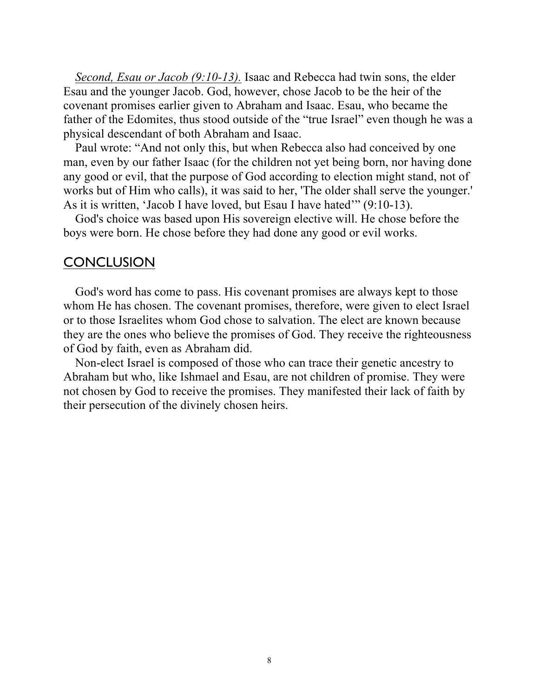*Second, Esau or Jacob (9:10-13).* Isaac and Rebecca had twin sons, the elder Esau and the younger Jacob. God, however, chose Jacob to be the heir of the covenant promises earlier given to Abraham and Isaac. Esau, who became the father of the Edomites, thus stood outside of the "true Israel" even though he was a physical descendant of both Abraham and Isaac.

Paul wrote: "And not only this, but when Rebecca also had conceived by one man, even by our father Isaac (for the children not yet being born, nor having done any good or evil, that the purpose of God according to election might stand, not of works but of Him who calls), it was said to her, 'The older shall serve the younger.' As it is written, 'Jacob I have loved, but Esau I have hated'" (9:10-13).

God's choice was based upon His sovereign elective will. He chose before the boys were born. He chose before they had done any good or evil works.

### **CONCLUSION**

God's word has come to pass. His covenant promises are always kept to those whom He has chosen. The covenant promises, therefore, were given to elect Israel or to those Israelites whom God chose to salvation. The elect are known because they are the ones who believe the promises of God. They receive the righteousness of God by faith, even as Abraham did.

Non-elect Israel is composed of those who can trace their genetic ancestry to Abraham but who, like Ishmael and Esau, are not children of promise. They were not chosen by God to receive the promises. They manifested their lack of faith by their persecution of the divinely chosen heirs.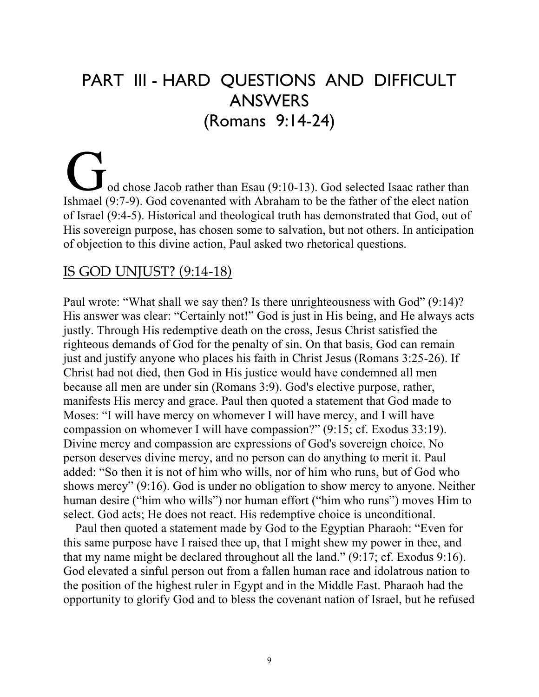# PART III - HARD QUESTIONS AND DIFFICULT ANSWERS (Romans 9:14-24)

od chose Jacob rather than Esau (9:10-13). God selected Isaac rather than Ishmael (9:7-9). God covenanted with Abraham to be the father of the elect nation of Israel (9:4-5). Historical and theological truth has demonstrated that God, out of His sovereign purpose, has chosen some to salvation, but not others. In anticipation of objection to this divine action, Paul asked two rhetorical questions.

### IS GOD UNJUST? (9:14-18)

Paul wrote: "What shall we say then? Is there unrighteousness with God" (9:14)? His answer was clear: "Certainly not!" God is just in His being, and He always acts justly. Through His redemptive death on the cross, Jesus Christ satisfied the righteous demands of God for the penalty of sin. On that basis, God can remain just and justify anyone who places his faith in Christ Jesus (Romans 3:25-26). If Christ had not died, then God in His justice would have condemned all men because all men are under sin (Romans 3:9). God's elective purpose, rather, manifests His mercy and grace. Paul then quoted a statement that God made to Moses: "I will have mercy on whomever I will have mercy, and I will have compassion on whomever I will have compassion?" (9:15; cf. Exodus 33:19). Divine mercy and compassion are expressions of God's sovereign choice. No person deserves divine mercy, and no person can do anything to merit it. Paul added: "So then it is not of him who wills, nor of him who runs, but of God who shows mercy" (9:16). God is under no obligation to show mercy to anyone. Neither human desire ("him who wills") nor human effort ("him who runs") moves Him to select. God acts; He does not react. His redemptive choice is unconditional.

Paul then quoted a statement made by God to the Egyptian Pharaoh: "Even for this same purpose have I raised thee up, that I might shew my power in thee, and that my name might be declared throughout all the land." (9:17; cf. Exodus 9:16). God elevated a sinful person out from a fallen human race and idolatrous nation to the position of the highest ruler in Egypt and in the Middle East. Pharaoh had the opportunity to glorify God and to bless the covenant nation of Israel, but he refused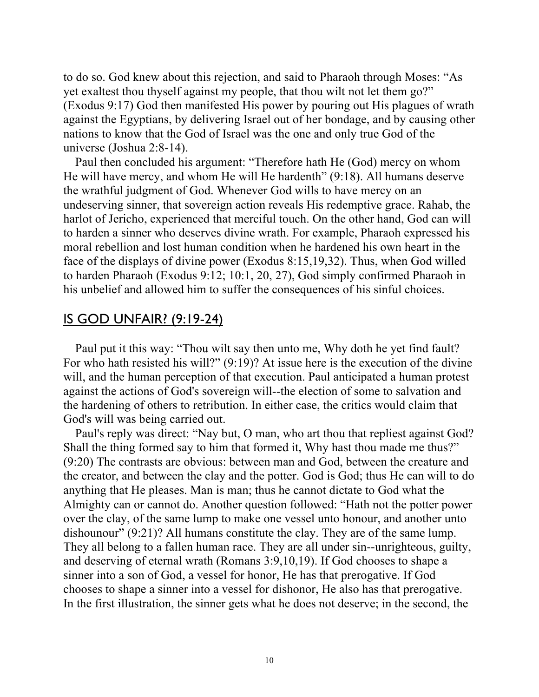to do so. God knew about this rejection, and said to Pharaoh through Moses: "As yet exaltest thou thyself against my people, that thou wilt not let them go?" (Exodus 9:17) God then manifested His power by pouring out His plagues of wrath against the Egyptians, by delivering Israel out of her bondage, and by causing other nations to know that the God of Israel was the one and only true God of the universe (Joshua 2:8-14).

Paul then concluded his argument: "Therefore hath He (God) mercy on whom He will have mercy, and whom He will He hardenth" (9:18). All humans deserve the wrathful judgment of God. Whenever God wills to have mercy on an undeserving sinner, that sovereign action reveals His redemptive grace. Rahab, the harlot of Jericho, experienced that merciful touch. On the other hand, God can will to harden a sinner who deserves divine wrath. For example, Pharaoh expressed his moral rebellion and lost human condition when he hardened his own heart in the face of the displays of divine power (Exodus 8:15,19,32). Thus, when God willed to harden Pharaoh (Exodus 9:12; 10:1, 20, 27), God simply confirmed Pharaoh in his unbelief and allowed him to suffer the consequences of his sinful choices.

### IS GOD UNFAIR? (9:19-24)

Paul put it this way: "Thou wilt say then unto me, Why doth he yet find fault? For who hath resisted his will?" (9:19)? At issue here is the execution of the divine will, and the human perception of that execution. Paul anticipated a human protest against the actions of God's sovereign will--the election of some to salvation and the hardening of others to retribution. In either case, the critics would claim that God's will was being carried out.

Paul's reply was direct: "Nay but, O man, who art thou that repliest against God? Shall the thing formed say to him that formed it, Why hast thou made me thus?" (9:20) The contrasts are obvious: between man and God, between the creature and the creator, and between the clay and the potter. God is God; thus He can will to do anything that He pleases. Man is man; thus he cannot dictate to God what the Almighty can or cannot do. Another question followed: "Hath not the potter power over the clay, of the same lump to make one vessel unto honour, and another unto dishounour" (9:21)? All humans constitute the clay. They are of the same lump. They all belong to a fallen human race. They are all under sin--unrighteous, guilty, and deserving of eternal wrath (Romans 3:9,10,19). If God chooses to shape a sinner into a son of God, a vessel for honor, He has that prerogative. If God chooses to shape a sinner into a vessel for dishonor, He also has that prerogative. In the first illustration, the sinner gets what he does not deserve; in the second, the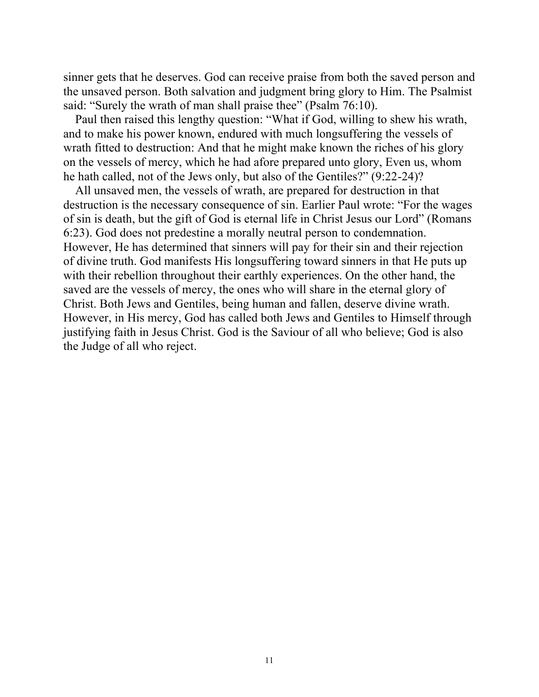sinner gets that he deserves. God can receive praise from both the saved person and the unsaved person. Both salvation and judgment bring glory to Him. The Psalmist said: "Surely the wrath of man shall praise thee" (Psalm 76:10).

Paul then raised this lengthy question: "What if God, willing to shew his wrath, and to make his power known, endured with much longsuffering the vessels of wrath fitted to destruction: And that he might make known the riches of his glory on the vessels of mercy, which he had afore prepared unto glory, Even us, whom he hath called, not of the Jews only, but also of the Gentiles?" (9:22-24)?

All unsaved men, the vessels of wrath, are prepared for destruction in that destruction is the necessary consequence of sin. Earlier Paul wrote: "For the wages of sin is death, but the gift of God is eternal life in Christ Jesus our Lord" (Romans 6:23). God does not predestine a morally neutral person to condemnation. However, He has determined that sinners will pay for their sin and their rejection of divine truth. God manifests His longsuffering toward sinners in that He puts up with their rebellion throughout their earthly experiences. On the other hand, the saved are the vessels of mercy, the ones who will share in the eternal glory of Christ. Both Jews and Gentiles, being human and fallen, deserve divine wrath. However, in His mercy, God has called both Jews and Gentiles to Himself through justifying faith in Jesus Christ. God is the Saviour of all who believe; God is also the Judge of all who reject.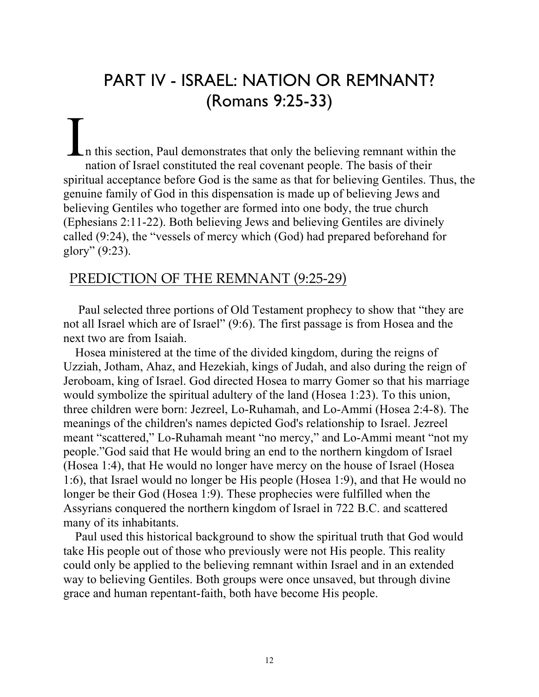## PART IV - ISRAEL: NATION OR REMNANT? (Romans 9:25-33)

n this section, Paul demonstrates that only the believing remnant within the nation of Israel constituted the real covenant people. The basis of their spiritual acceptance before God is the same as that for believing Gentiles. Thus, the genuine family of God in this dispensation is made up of believing Jews and believing Gentiles who together are formed into one body, the true church (Ephesians 2:11-22). Both believing Jews and believing Gentiles are divinely called (9:24), the "vessels of mercy which (God) had prepared beforehand for glory" (9:23). I

### PREDICTION OF THE REMNANT (9:25-29)

Paul selected three portions of Old Testament prophecy to show that "they are not all Israel which are of Israel" (9:6). The first passage is from Hosea and the next two are from Isaiah.

Hosea ministered at the time of the divided kingdom, during the reigns of Uzziah, Jotham, Ahaz, and Hezekiah, kings of Judah, and also during the reign of Jeroboam, king of Israel. God directed Hosea to marry Gomer so that his marriage would symbolize the spiritual adultery of the land (Hosea 1:23). To this union, three children were born: Jezreel, Lo-Ruhamah, and Lo-Ammi (Hosea 2:4-8). The meanings of the children's names depicted God's relationship to Israel. Jezreel meant "scattered," Lo-Ruhamah meant "no mercy," and Lo-Ammi meant "not my people."God said that He would bring an end to the northern kingdom of Israel (Hosea 1:4), that He would no longer have mercy on the house of Israel (Hosea 1:6), that Israel would no longer be His people (Hosea 1:9), and that He would no longer be their God (Hosea 1:9). These prophecies were fulfilled when the Assyrians conquered the northern kingdom of Israel in 722 B.C. and scattered many of its inhabitants.

Paul used this historical background to show the spiritual truth that God would take His people out of those who previously were not His people. This reality could only be applied to the believing remnant within Israel and in an extended way to believing Gentiles. Both groups were once unsaved, but through divine grace and human repentant-faith, both have become His people.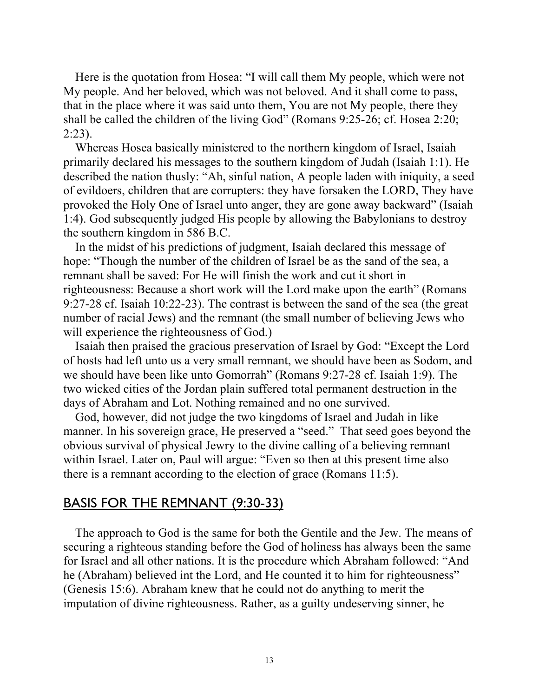Here is the quotation from Hosea: "I will call them My people, which were not My people. And her beloved, which was not beloved. And it shall come to pass, that in the place where it was said unto them, You are not My people, there they shall be called the children of the living God" (Romans 9:25-26; cf. Hosea 2:20; 2:23).

Whereas Hosea basically ministered to the northern kingdom of Israel, Isaiah primarily declared his messages to the southern kingdom of Judah (Isaiah 1:1). He described the nation thusly: "Ah, sinful nation, A people laden with iniquity, a seed of evildoers, children that are corrupters: they have forsaken the LORD, They have provoked the Holy One of Israel unto anger, they are gone away backward" (Isaiah 1:4). God subsequently judged His people by allowing the Babylonians to destroy the southern kingdom in 586 B.C.

In the midst of his predictions of judgment, Isaiah declared this message of hope: "Though the number of the children of Israel be as the sand of the sea, a remnant shall be saved: For He will finish the work and cut it short in righteousness: Because a short work will the Lord make upon the earth" (Romans 9:27-28 cf. Isaiah 10:22-23). The contrast is between the sand of the sea (the great number of racial Jews) and the remnant (the small number of believing Jews who will experience the righteousness of God.)

Isaiah then praised the gracious preservation of Israel by God: "Except the Lord of hosts had left unto us a very small remnant, we should have been as Sodom, and we should have been like unto Gomorrah" (Romans 9:27-28 cf. Isaiah 1:9). The two wicked cities of the Jordan plain suffered total permanent destruction in the days of Abraham and Lot. Nothing remained and no one survived.

God, however, did not judge the two kingdoms of Israel and Judah in like manner. In his sovereign grace, He preserved a "seed." That seed goes beyond the obvious survival of physical Jewry to the divine calling of a believing remnant within Israel. Later on, Paul will argue: "Even so then at this present time also there is a remnant according to the election of grace (Romans 11:5).

### BASIS FOR THE REMNANT (9:30-33)

The approach to God is the same for both the Gentile and the Jew. The means of securing a righteous standing before the God of holiness has always been the same for Israel and all other nations. It is the procedure which Abraham followed: "And he (Abraham) believed int the Lord, and He counted it to him for righteousness" (Genesis 15:6). Abraham knew that he could not do anything to merit the imputation of divine righteousness. Rather, as a guilty undeserving sinner, he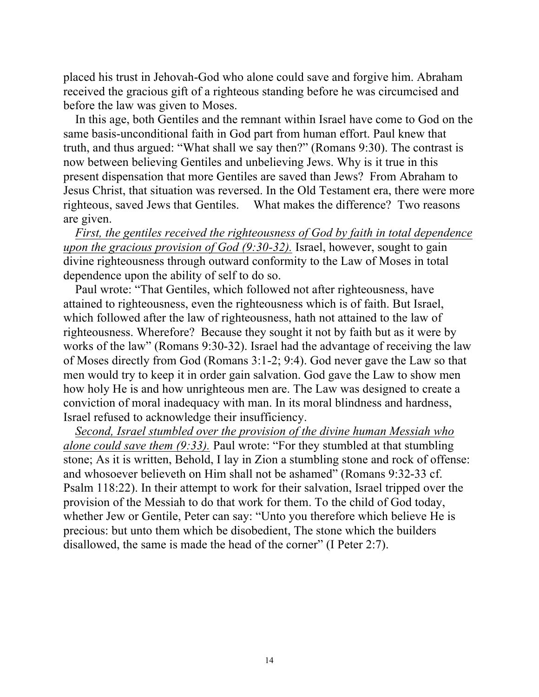placed his trust in Jehovah-God who alone could save and forgive him. Abraham received the gracious gift of a righteous standing before he was circumcised and before the law was given to Moses.

In this age, both Gentiles and the remnant within Israel have come to God on the same basis-unconditional faith in God part from human effort. Paul knew that truth, and thus argued: "What shall we say then?" (Romans 9:30). The contrast is now between believing Gentiles and unbelieving Jews. Why is it true in this present dispensation that more Gentiles are saved than Jews? From Abraham to Jesus Christ, that situation was reversed. In the Old Testament era, there were more righteous, saved Jews that Gentiles. What makes the difference? Two reasons are given.

*First, the gentiles received the righteousness of God by faith in total dependence upon the gracious provision of God (9:30-32).* Israel, however, sought to gain divine righteousness through outward conformity to the Law of Moses in total dependence upon the ability of self to do so.

Paul wrote: "That Gentiles, which followed not after righteousness, have attained to righteousness, even the righteousness which is of faith. But Israel, which followed after the law of righteousness, hath not attained to the law of righteousness. Wherefore? Because they sought it not by faith but as it were by works of the law" (Romans 9:30-32). Israel had the advantage of receiving the law of Moses directly from God (Romans 3:1-2; 9:4). God never gave the Law so that men would try to keep it in order gain salvation. God gave the Law to show men how holy He is and how unrighteous men are. The Law was designed to create a conviction of moral inadequacy with man. In its moral blindness and hardness, Israel refused to acknowledge their insufficiency.

*Second, Israel stumbled over the provision of the divine human Messiah who alone could save them (9:33).* Paul wrote: "For they stumbled at that stumbling stone; As it is written, Behold, I lay in Zion a stumbling stone and rock of offense: and whosoever believeth on Him shall not be ashamed" (Romans 9:32-33 cf. Psalm 118:22). In their attempt to work for their salvation, Israel tripped over the provision of the Messiah to do that work for them. To the child of God today, whether Jew or Gentile, Peter can say: "Unto you therefore which believe He is precious: but unto them which be disobedient, The stone which the builders disallowed, the same is made the head of the corner" (I Peter 2:7).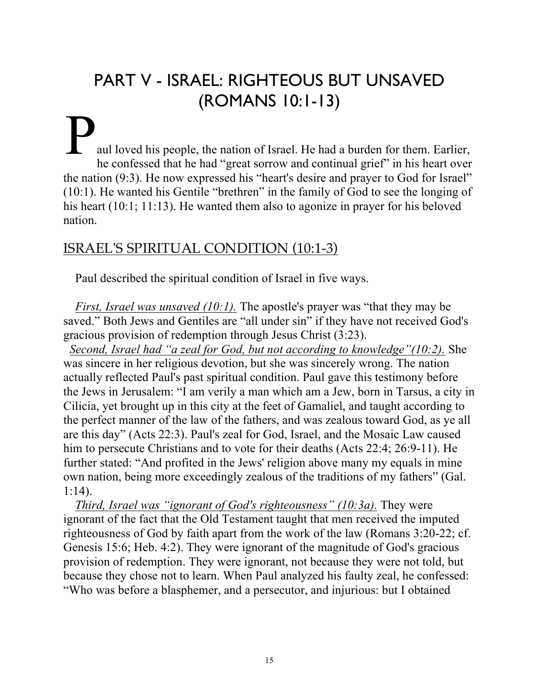# PART V - ISRAEL: RIGHTEOUS BUT UNSAVED (ROMANS 10:1-13)

### aul loved his people, the nation of Israel. He had a burden for them. Earlier, he confessed that he had "great sorrow and continual grief" in his heart over the nation (9:3). He now expressed his "heart's desire and prayer to God for Israel" (10:1). He wanted his Gentile "brethren" in the family of God to see the longing of his heart (10:1; 11:13). He wanted them also to agonize in prayer for his beloved nation. P

### ISRAEL'S SPIRITUAL CONDITION (10:1-3)

Paul described the spiritual condition of Israel in five ways.

*First, Israel was unsaved (10:1).* The apostle's prayer was "that they may be saved." Both Jews and Gentiles are "all under sin" if they have not received God's gracious provision of redemption through Jesus Christ (3:23).

 *Second, Israel had "a zeal for God, but not according to knowledge"(10:2).* She was sincere in her religious devotion, but she was sincerely wrong. The nation actually reflected Paul's past spiritual condition. Paul gave this testimony before the Jews in Jerusalem: "I am verily a man which am a Jew, born in Tarsus, a city in Cilicia, yet brought up in this city at the feet of Gamaliel, and taught according to the perfect manner of the law of the fathers, and was zealous toward God, as ye all are this day" (Acts 22:3). Paul's zeal for God, Israel, and the Mosaic Law caused him to persecute Christians and to vote for their deaths (Acts 22:4; 26:9-11). He further stated: "And profited in the Jews' religion above many my equals in mine own nation, being more exceedingly zealous of the traditions of my fathers" (Gal. 1:14).

*Third, Israel was "ignorant of God's righteousness" (10:3a).* They were ignorant of the fact that the Old Testament taught that men received the imputed righteousness of God by faith apart from the work of the law (Romans 3:20-22; cf. Genesis 15:6; Heb. 4:2). They were ignorant of the magnitude of God's gracious provision of redemption. They were ignorant, not because they were not told, but because they chose not to learn. When Paul analyzed his faulty zeal, he confessed: "Who was before a blasphemer, and a persecutor, and injurious: but I obtained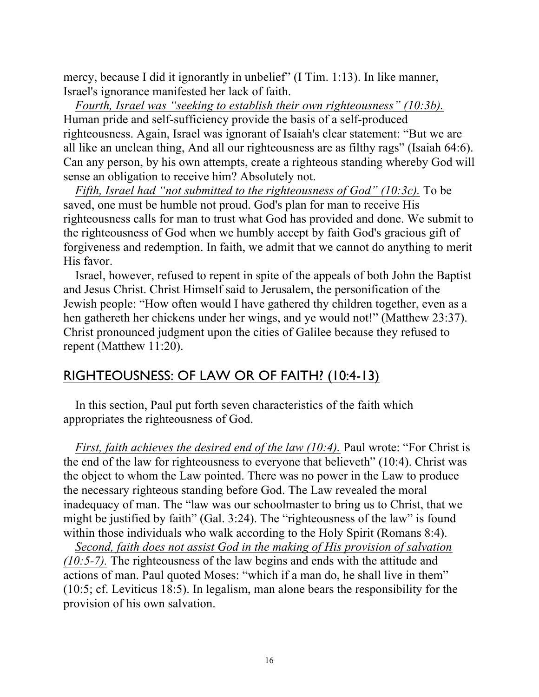mercy, because I did it ignorantly in unbelief" (I Tim. 1:13). In like manner, Israel's ignorance manifested her lack of faith.

*Fourth, Israel was "seeking to establish their own righteousness" (10:3b).* Human pride and self-sufficiency provide the basis of a self-produced righteousness. Again, Israel was ignorant of Isaiah's clear statement: "But we are all like an unclean thing, And all our righteousness are as filthy rags" (Isaiah 64:6). Can any person, by his own attempts, create a righteous standing whereby God will sense an obligation to receive him? Absolutely not.

*Fifth, Israel had "not submitted to the righteousness of God" (10:3c).* To be saved, one must be humble not proud. God's plan for man to receive His righteousness calls for man to trust what God has provided and done. We submit to the righteousness of God when we humbly accept by faith God's gracious gift of forgiveness and redemption. In faith, we admit that we cannot do anything to merit His favor.

Israel, however, refused to repent in spite of the appeals of both John the Baptist and Jesus Christ. Christ Himself said to Jerusalem, the personification of the Jewish people: "How often would I have gathered thy children together, even as a hen gathereth her chickens under her wings, and ye would not!" (Matthew 23:37). Christ pronounced judgment upon the cities of Galilee because they refused to repent (Matthew 11:20).

### RIGHTEOUSNESS: OF LAW OR OF FAITH? (10:4-13)

In this section, Paul put forth seven characteristics of the faith which appropriates the righteousness of God.

*First, faith achieves the desired end of the law (10:4).* Paul wrote: "For Christ is the end of the law for righteousness to everyone that believeth" (10:4). Christ was the object to whom the Law pointed. There was no power in the Law to produce the necessary righteous standing before God. The Law revealed the moral inadequacy of man. The "law was our schoolmaster to bring us to Christ, that we might be justified by faith" (Gal. 3:24). The "righteousness of the law" is found within those individuals who walk according to the Holy Spirit (Romans 8:4).

*Second, faith does not assist God in the making of His provision of salvation (10:5-7).* The righteousness of the law begins and ends with the attitude and actions of man. Paul quoted Moses: "which if a man do, he shall live in them" (10:5; cf. Leviticus 18:5). In legalism, man alone bears the responsibility for the provision of his own salvation.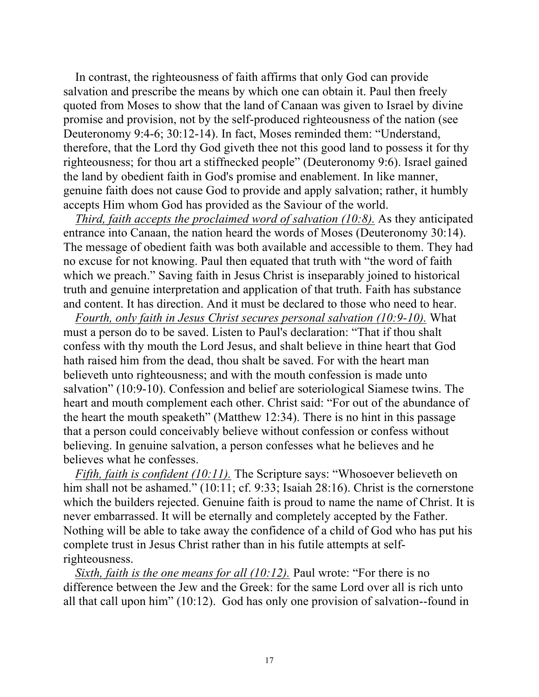In contrast, the righteousness of faith affirms that only God can provide salvation and prescribe the means by which one can obtain it. Paul then freely quoted from Moses to show that the land of Canaan was given to Israel by divine promise and provision, not by the self-produced righteousness of the nation (see Deuteronomy 9:4-6; 30:12-14). In fact, Moses reminded them: "Understand, therefore, that the Lord thy God giveth thee not this good land to possess it for thy righteousness; for thou art a stiffnecked people" (Deuteronomy 9:6). Israel gained the land by obedient faith in God's promise and enablement. In like manner, genuine faith does not cause God to provide and apply salvation; rather, it humbly accepts Him whom God has provided as the Saviour of the world.

*Third, faith accepts the proclaimed word of salvation (10:8).* As they anticipated entrance into Canaan, the nation heard the words of Moses (Deuteronomy 30:14). The message of obedient faith was both available and accessible to them. They had no excuse for not knowing. Paul then equated that truth with "the word of faith which we preach." Saving faith in Jesus Christ is inseparably joined to historical truth and genuine interpretation and application of that truth. Faith has substance and content. It has direction. And it must be declared to those who need to hear.

*Fourth, only faith in Jesus Christ secures personal salvation (10:9-10).* What must a person do to be saved. Listen to Paul's declaration: "That if thou shalt confess with thy mouth the Lord Jesus, and shalt believe in thine heart that God hath raised him from the dead, thou shalt be saved. For with the heart man believeth unto righteousness; and with the mouth confession is made unto salvation" (10:9-10). Confession and belief are soteriological Siamese twins. The heart and mouth complement each other. Christ said: "For out of the abundance of the heart the mouth speaketh" (Matthew 12:34). There is no hint in this passage that a person could conceivably believe without confession or confess without believing. In genuine salvation, a person confesses what he believes and he believes what he confesses.

*Fifth, faith is confident (10:11).* The Scripture says: "Whosoever believeth on him shall not be ashamed." (10:11; cf. 9:33; Isaiah 28:16). Christ is the cornerstone which the builders rejected. Genuine faith is proud to name the name of Christ. It is never embarrassed. It will be eternally and completely accepted by the Father. Nothing will be able to take away the confidence of a child of God who has put his complete trust in Jesus Christ rather than in his futile attempts at selfrighteousness.

*Sixth, faith is the one means for all (10:12).* Paul wrote: "For there is no difference between the Jew and the Greek: for the same Lord over all is rich unto all that call upon him" (10:12). God has only one provision of salvation--found in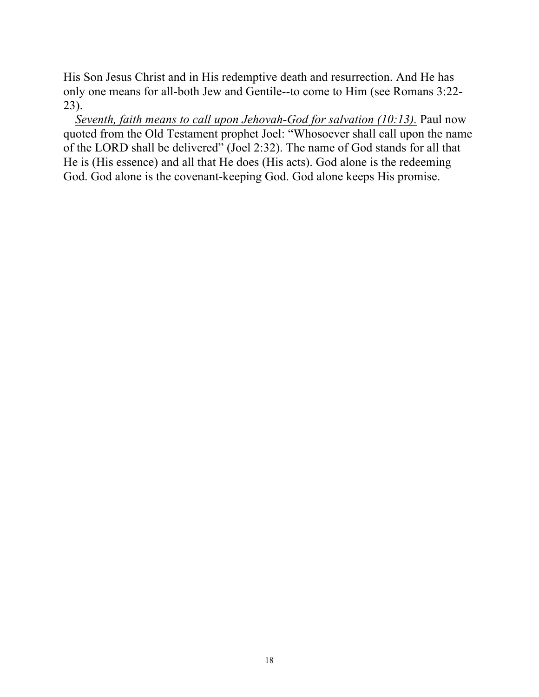His Son Jesus Christ and in His redemptive death and resurrection. And He has only one means for all-both Jew and Gentile--to come to Him (see Romans 3:22- 23).

*Seventh, faith means to call upon Jehovah-God for salvation (10:13).* Paul now quoted from the Old Testament prophet Joel: "Whosoever shall call upon the name of the LORD shall be delivered" (Joel 2:32). The name of God stands for all that He is (His essence) and all that He does (His acts). God alone is the redeeming God. God alone is the covenant-keeping God. God alone keeps His promise.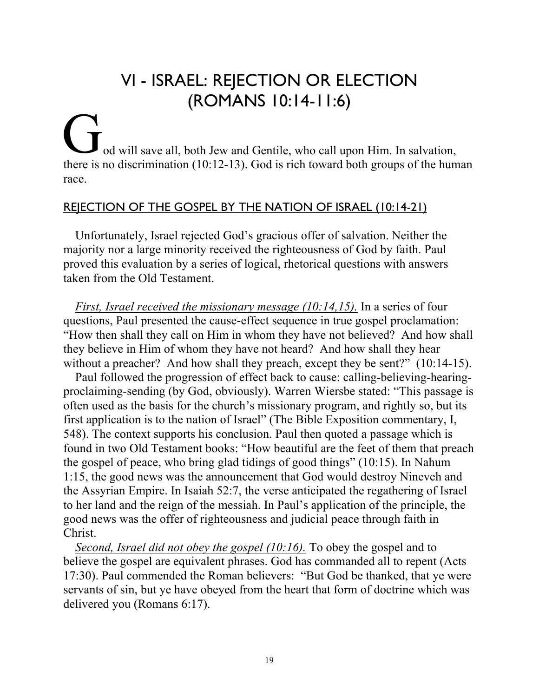# VI - ISRAEL: REJECTION OR ELECTION (ROMANS 10:14-11:6)

### od will save all, both Jew and Gentile, who call upon Him. In salvation, there is no discrimination (10:12-13). God is rich toward both groups of the human race. G<br>there is

### REJECTION OF THE GOSPEL BY THE NATION OF ISRAEL (10:14-21)

Unfortunately, Israel rejected God's gracious offer of salvation. Neither the majority nor a large minority received the righteousness of God by faith. Paul proved this evaluation by a series of logical, rhetorical questions with answers taken from the Old Testament.

*First, Israel received the missionary message (10:14,15).* In a series of four questions, Paul presented the cause-effect sequence in true gospel proclamation: "How then shall they call on Him in whom they have not believed? And how shall they believe in Him of whom they have not heard? And how shall they hear without a preacher? And how shall they preach, except they be sent?" (10:14-15).

Paul followed the progression of effect back to cause: calling-believing-hearingproclaiming-sending (by God, obviously). Warren Wiersbe stated: "This passage is often used as the basis for the church's missionary program, and rightly so, but its first application is to the nation of Israel" (The Bible Exposition commentary, I, 548). The context supports his conclusion. Paul then quoted a passage which is found in two Old Testament books: "How beautiful are the feet of them that preach the gospel of peace, who bring glad tidings of good things" (10:15). In Nahum 1:15, the good news was the announcement that God would destroy Nineveh and the Assyrian Empire. In Isaiah 52:7, the verse anticipated the regathering of Israel to her land and the reign of the messiah. In Paul's application of the principle, the good news was the offer of righteousness and judicial peace through faith in Christ.

*Second, Israel did not obey the gospel (10:16).* To obey the gospel and to believe the gospel are equivalent phrases. God has commanded all to repent (Acts 17:30). Paul commended the Roman believers: "But God be thanked, that ye were servants of sin, but ye have obeyed from the heart that form of doctrine which was delivered you (Romans 6:17).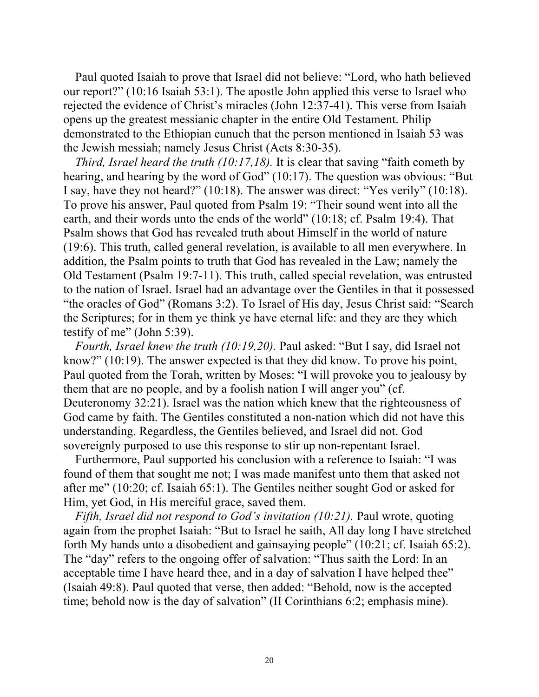Paul quoted Isaiah to prove that Israel did not believe: "Lord, who hath believed our report?" (10:16 Isaiah 53:1). The apostle John applied this verse to Israel who rejected the evidence of Christ's miracles (John 12:37-41). This verse from Isaiah opens up the greatest messianic chapter in the entire Old Testament. Philip demonstrated to the Ethiopian eunuch that the person mentioned in Isaiah 53 was the Jewish messiah; namely Jesus Christ (Acts 8:30-35).

*Third, Israel heard the truth (10:17,18).* It is clear that saving "faith cometh by hearing, and hearing by the word of God" (10:17). The question was obvious: "But I say, have they not heard?" (10:18). The answer was direct: "Yes verily" (10:18). To prove his answer, Paul quoted from Psalm 19: "Their sound went into all the earth, and their words unto the ends of the world" (10:18; cf. Psalm 19:4). That Psalm shows that God has revealed truth about Himself in the world of nature (19:6). This truth, called general revelation, is available to all men everywhere. In addition, the Psalm points to truth that God has revealed in the Law; namely the Old Testament (Psalm 19:7-11). This truth, called special revelation, was entrusted to the nation of Israel. Israel had an advantage over the Gentiles in that it possessed "the oracles of God" (Romans 3:2). To Israel of His day, Jesus Christ said: "Search the Scriptures; for in them ye think ye have eternal life: and they are they which testify of me" (John 5:39).

*Fourth, Israel knew the truth (10:19,20).* Paul asked: "But I say, did Israel not know?" (10:19). The answer expected is that they did know. To prove his point, Paul quoted from the Torah, written by Moses: "I will provoke you to jealousy by them that are no people, and by a foolish nation I will anger you" (cf. Deuteronomy 32:21). Israel was the nation which knew that the righteousness of God came by faith. The Gentiles constituted a non-nation which did not have this understanding. Regardless, the Gentiles believed, and Israel did not. God sovereignly purposed to use this response to stir up non-repentant Israel.

Furthermore, Paul supported his conclusion with a reference to Isaiah: "I was found of them that sought me not; I was made manifest unto them that asked not after me" (10:20; cf. Isaiah 65:1). The Gentiles neither sought God or asked for Him, yet God, in His merciful grace, saved them.

*Fifth, Israel did not respond to God's invitation (10:21).* Paul wrote, quoting again from the prophet Isaiah: "But to Israel he saith, All day long I have stretched forth My hands unto a disobedient and gainsaying people" (10:21; cf. Isaiah 65:2). The "day" refers to the ongoing offer of salvation: "Thus saith the Lord: In an acceptable time I have heard thee, and in a day of salvation I have helped thee" (Isaiah 49:8). Paul quoted that verse, then added: "Behold, now is the accepted time; behold now is the day of salvation" (II Corinthians 6:2; emphasis mine).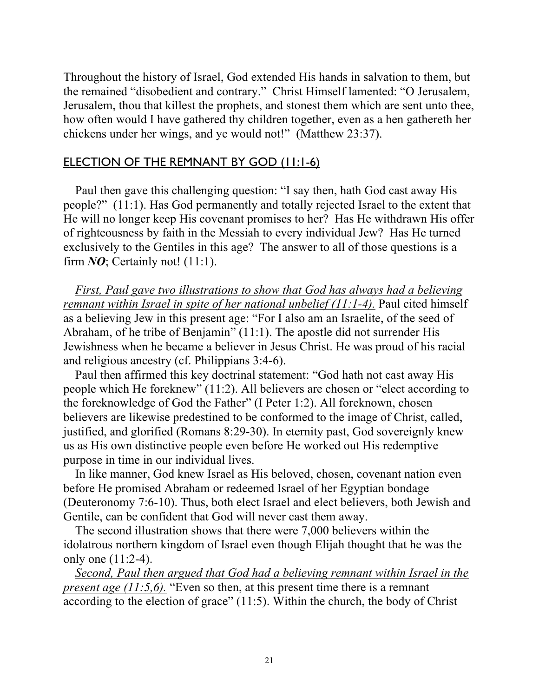Throughout the history of Israel, God extended His hands in salvation to them, but the remained "disobedient and contrary." Christ Himself lamented: "O Jerusalem, Jerusalem, thou that killest the prophets, and stonest them which are sent unto thee, how often would I have gathered thy children together, even as a hen gathereth her chickens under her wings, and ye would not!" (Matthew 23:37).

### ELECTION OF THE REMNANT BY GOD (11:1-6)

Paul then gave this challenging question: "I say then, hath God cast away His people?" (11:1). Has God permanently and totally rejected Israel to the extent that He will no longer keep His covenant promises to her? Has He withdrawn His offer of righteousness by faith in the Messiah to every individual Jew? Has He turned exclusively to the Gentiles in this age? The answer to all of those questions is a firm  $NQ$ ; Certainly not!  $(11:1)$ .

*First, Paul gave two illustrations to show that God has always had a believing remnant within Israel in spite of her national unbelief (11:1-4).* Paul cited himself as a believing Jew in this present age: "For I also am an Israelite, of the seed of Abraham, of he tribe of Benjamin" (11:1). The apostle did not surrender His Jewishness when he became a believer in Jesus Christ. He was proud of his racial and religious ancestry (cf. Philippians 3:4-6).

Paul then affirmed this key doctrinal statement: "God hath not cast away His people which He foreknew" (11:2). All believers are chosen or "elect according to the foreknowledge of God the Father" (I Peter 1:2). All foreknown, chosen believers are likewise predestined to be conformed to the image of Christ, called, justified, and glorified (Romans 8:29-30). In eternity past, God sovereignly knew us as His own distinctive people even before He worked out His redemptive purpose in time in our individual lives.

In like manner, God knew Israel as His beloved, chosen, covenant nation even before He promised Abraham or redeemed Israel of her Egyptian bondage (Deuteronomy 7:6-10). Thus, both elect Israel and elect believers, both Jewish and Gentile, can be confident that God will never cast them away.

The second illustration shows that there were 7,000 believers within the idolatrous northern kingdom of Israel even though Elijah thought that he was the only one (11:2-4).

*Second, Paul then argued that God had a believing remnant within Israel in the present age (11:5,6).* "Even so then, at this present time there is a remnant according to the election of grace" (11:5). Within the church, the body of Christ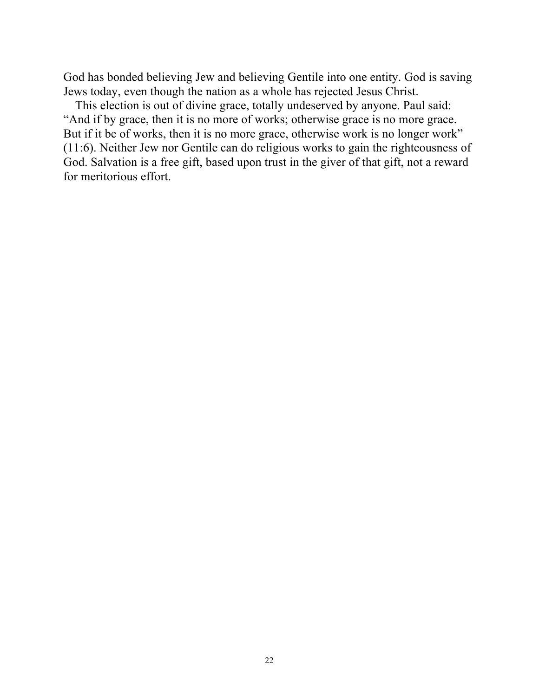God has bonded believing Jew and believing Gentile into one entity. God is saving Jews today, even though the nation as a whole has rejected Jesus Christ.

This election is out of divine grace, totally undeserved by anyone. Paul said: "And if by grace, then it is no more of works; otherwise grace is no more grace. But if it be of works, then it is no more grace, otherwise work is no longer work" (11:6). Neither Jew nor Gentile can do religious works to gain the righteousness of God. Salvation is a free gift, based upon trust in the giver of that gift, not a reward for meritorious effort.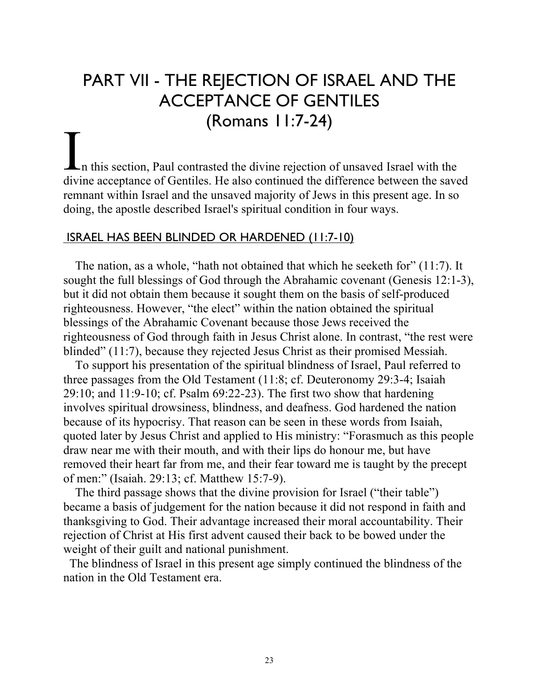# PART VII - THE REJECTION OF ISRAEL AND THE ACCEPTANCE OF GENTILES (Romans 11:7-24)

n this section, Paul contrasted the divine rejection of unsaved Israel with the The section, Paul contrasted the divine rejection of unsaved Israel with the divine acceptance of Gentiles. He also continued the difference between the saved remnant within Israel and the unsaved majority of Jews in this present age. In so doing, the apostle described Israel's spiritual condition in four ways.

#### ISRAEL HAS BEEN BLINDED OR HARDENED (11:7-10)

The nation, as a whole, "hath not obtained that which he seeketh for" (11:7). It sought the full blessings of God through the Abrahamic covenant (Genesis 12:1-3), but it did not obtain them because it sought them on the basis of self-produced righteousness. However, "the elect" within the nation obtained the spiritual blessings of the Abrahamic Covenant because those Jews received the righteousness of God through faith in Jesus Christ alone. In contrast, "the rest were blinded" (11:7), because they rejected Jesus Christ as their promised Messiah.

To support his presentation of the spiritual blindness of Israel, Paul referred to three passages from the Old Testament (11:8; cf. Deuteronomy 29:3-4; Isaiah 29:10; and 11:9-10; cf. Psalm 69:22-23). The first two show that hardening involves spiritual drowsiness, blindness, and deafness. God hardened the nation because of its hypocrisy. That reason can be seen in these words from Isaiah, quoted later by Jesus Christ and applied to His ministry: "Forasmuch as this people draw near me with their mouth, and with their lips do honour me, but have removed their heart far from me, and their fear toward me is taught by the precept of men:" (Isaiah. 29:13; cf. Matthew 15:7-9).

The third passage shows that the divine provision for Israel ("their table") became a basis of judgement for the nation because it did not respond in faith and thanksgiving to God. Their advantage increased their moral accountability. Their rejection of Christ at His first advent caused their back to be bowed under the weight of their guilt and national punishment.

 The blindness of Israel in this present age simply continued the blindness of the nation in the Old Testament era.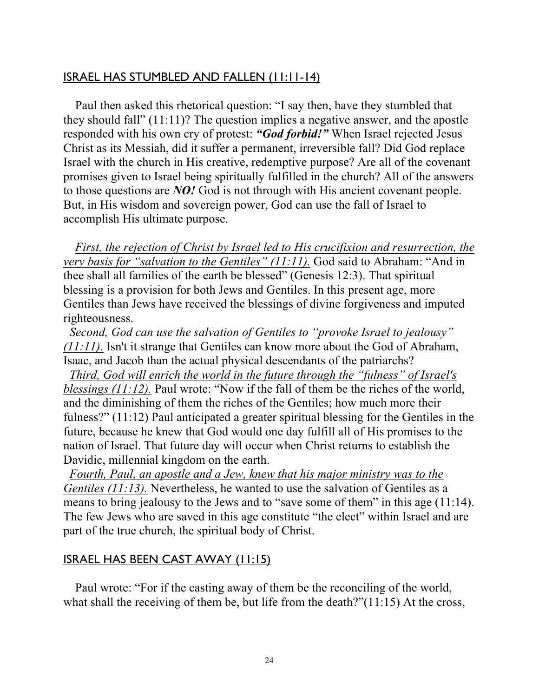### ISRAEL HAS STUMBLED AND FALLEN (11:11-14)

Paul then asked this rhetorical question: "I say then, have they stumbled that they should fall" (11:11)? The question implies a negative answer, and the apostle responded with his own cry of protest: *"God forbid!"* When Israel rejected Jesus Christ as its Messiah, did it suffer a permanent, irreversible fall? Did God replace Israel with the church in His creative, redemptive purpose? Are all of the covenant promises given to Israel being spiritually fulfilled in the church? All of the answers to those questions are *NO!* God is not through with His ancient covenant people. But, in His wisdom and sovereign power, God can use the fall of Israel to accomplish His ultimate purpose.

*First, the rejection of Christ by Israel led to His crucifixion and resurrection, the very basis for "salvation to the Gentiles" (11:11).* God said to Abraham: "And in thee shall all families of the earth be blessed" (Genesis 12:3). That spiritual blessing is a provision for both Jews and Gentiles. In this present age, more Gentiles than Jews have received the blessings of divine forgiveness and imputed righteousness.

 *Second, God can use the salvation of Gentiles to "provoke Israel to jealousy" (11:11).* Isn't it strange that Gentiles can know more about the God of Abraham, Isaac, and Jacob than the actual physical descendants of the patriarchs?

 *Third, God will enrich the world in the future through the "fulness" of Israel's blessings (11:12).* Paul wrote: "Now if the fall of them be the riches of the world, and the diminishing of them the riches of the Gentiles; how much more their fulness?" (11:12) Paul anticipated a greater spiritual blessing for the Gentiles in the future, because he knew that God would one day fulfill all of His promises to the nation of Israel. That future day will occur when Christ returns to establish the Davidic, millennial kingdom on the earth.

 *Fourth, Paul, an apostle and a Jew, knew that his major ministry was to the Gentiles (11:13).* Nevertheless, he wanted to use the salvation of Gentiles as a means to bring jealousy to the Jews and to "save some of them" in this age (11:14). The few Jews who are saved in this age constitute "the elect" within Israel and are part of the true church, the spiritual body of Christ.

### ISRAEL HAS BEEN CAST AWAY (11:15)

Paul wrote: "For if the casting away of them be the reconciling of the world, what shall the receiving of them be, but life from the death?"(11:15) At the cross,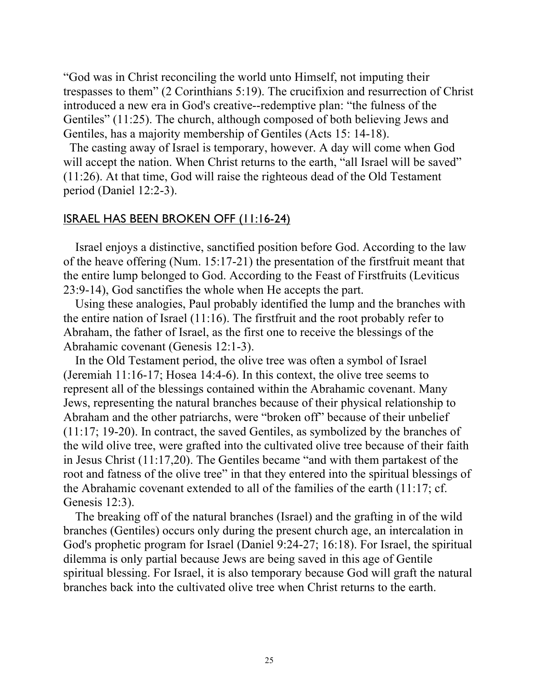"God was in Christ reconciling the world unto Himself, not imputing their trespasses to them" (2 Corinthians 5:19). The crucifixion and resurrection of Christ introduced a new era in God's creative--redemptive plan: "the fulness of the Gentiles" (11:25). The church, although composed of both believing Jews and Gentiles, has a majority membership of Gentiles (Acts 15: 14-18).

 The casting away of Israel is temporary, however. A day will come when God will accept the nation. When Christ returns to the earth, "all Israel will be saved" (11:26). At that time, God will raise the righteous dead of the Old Testament period (Daniel 12:2-3).

#### ISRAEL HAS BEEN BROKEN OFF (11:16-24)

Israel enjoys a distinctive, sanctified position before God. According to the law of the heave offering (Num. 15:17-21) the presentation of the firstfruit meant that the entire lump belonged to God. According to the Feast of Firstfruits (Leviticus 23:9-14), God sanctifies the whole when He accepts the part.

Using these analogies, Paul probably identified the lump and the branches with the entire nation of Israel (11:16). The firstfruit and the root probably refer to Abraham, the father of Israel, as the first one to receive the blessings of the Abrahamic covenant (Genesis 12:1-3).

In the Old Testament period, the olive tree was often a symbol of Israel (Jeremiah 11:16-17; Hosea 14:4-6). In this context, the olive tree seems to represent all of the blessings contained within the Abrahamic covenant. Many Jews, representing the natural branches because of their physical relationship to Abraham and the other patriarchs, were "broken off" because of their unbelief (11:17; 19-20). In contract, the saved Gentiles, as symbolized by the branches of the wild olive tree, were grafted into the cultivated olive tree because of their faith in Jesus Christ (11:17,20). The Gentiles became "and with them partakest of the root and fatness of the olive tree" in that they entered into the spiritual blessings of the Abrahamic covenant extended to all of the families of the earth (11:17; cf. Genesis 12:3).

The breaking off of the natural branches (Israel) and the grafting in of the wild branches (Gentiles) occurs only during the present church age, an intercalation in God's prophetic program for Israel (Daniel 9:24-27; 16:18). For Israel, the spiritual dilemma is only partial because Jews are being saved in this age of Gentile spiritual blessing. For Israel, it is also temporary because God will graft the natural branches back into the cultivated olive tree when Christ returns to the earth.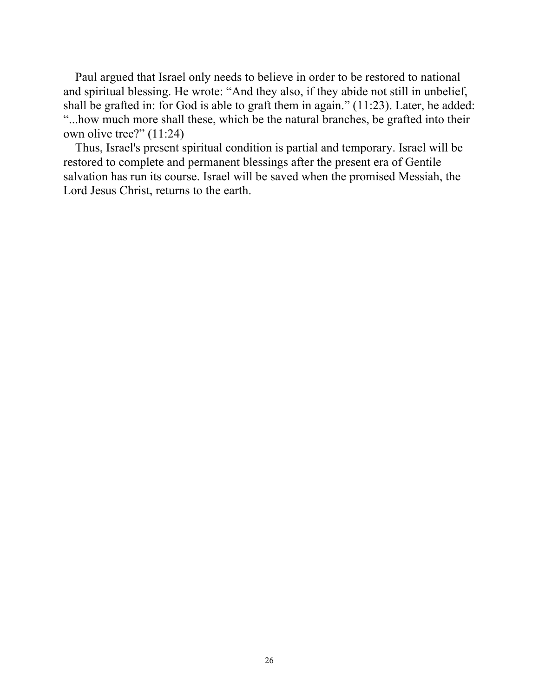Paul argued that Israel only needs to believe in order to be restored to national and spiritual blessing. He wrote: "And they also, if they abide not still in unbelief, shall be grafted in: for God is able to graft them in again." (11:23). Later, he added: "...how much more shall these, which be the natural branches, be grafted into their own olive tree?" (11:24)

Thus, Israel's present spiritual condition is partial and temporary. Israel will be restored to complete and permanent blessings after the present era of Gentile salvation has run its course. Israel will be saved when the promised Messiah, the Lord Jesus Christ, returns to the earth.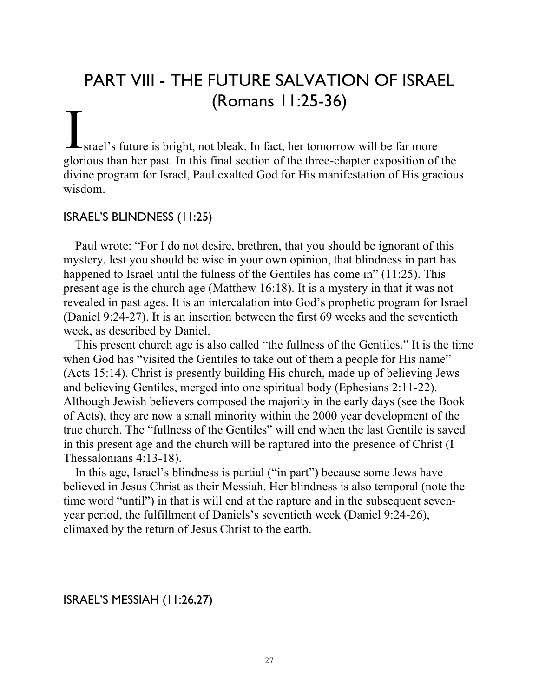## PART VIII - THE FUTURE SALVATION OF ISRAEL (Romans 11:25-36)

(KOTHATIS TT.2J-JO)<br>
Srael's future is bright, not bleak. In fact, her tomorrow will be far more plantage than have a lattice of glorious than her past. In this final section of the three-chapter exposition of the divine program for Israel, Paul exalted God for His manifestation of His gracious wisdom.

#### ISRAEL'S BLINDNESS (11:25)

Paul wrote: "For I do not desire, brethren, that you should be ignorant of this mystery, lest you should be wise in your own opinion, that blindness in part has happened to Israel until the fulness of the Gentiles has come in" (11:25). This present age is the church age (Matthew 16:18). It is a mystery in that it was not revealed in past ages. It is an intercalation into God's prophetic program for Israel (Daniel 9:24-27). It is an insertion between the first 69 weeks and the seventieth week, as described by Daniel.

This present church age is also called "the fullness of the Gentiles." It is the time when God has "visited the Gentiles to take out of them a people for His name" (Acts 15:14). Christ is presently building His church, made up of believing Jews and believing Gentiles, merged into one spiritual body (Ephesians 2:11-22). Although Jewish believers composed the majority in the early days (see the Book of Acts), they are now a small minority within the 2000 year development of the true church. The "fullness of the Gentiles" will end when the last Gentile is saved in this present age and the church will be raptured into the presence of Christ (I Thessalonians 4:13-18).

In this age, Israel's blindness is partial ("in part") because some Jews have believed in Jesus Christ as their Messiah. Her blindness is also temporal (note the time word "until") in that is will end at the rapture and in the subsequent sevenyear period, the fulfillment of Daniels's seventieth week (Daniel 9:24-26), climaxed by the return of Jesus Christ to the earth.

#### ISRAEL'S MESSIAH (11:26,27)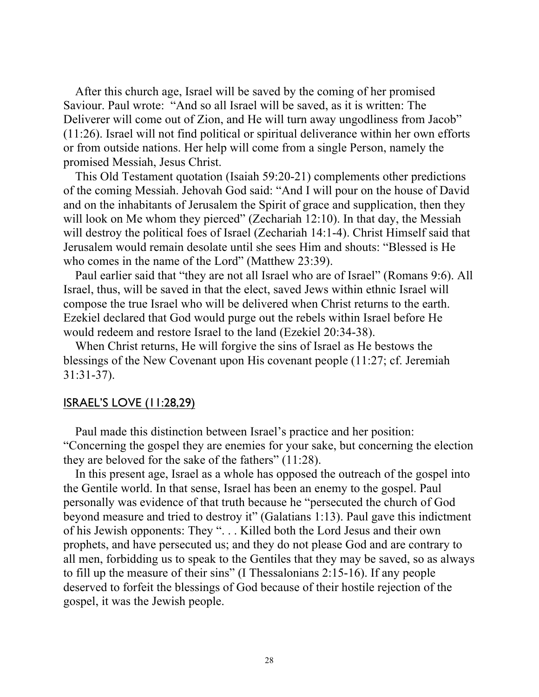After this church age, Israel will be saved by the coming of her promised Saviour. Paul wrote: "And so all Israel will be saved, as it is written: The Deliverer will come out of Zion, and He will turn away ungodliness from Jacob" (11:26). Israel will not find political or spiritual deliverance within her own efforts or from outside nations. Her help will come from a single Person, namely the promised Messiah, Jesus Christ.

This Old Testament quotation (Isaiah 59:20-21) complements other predictions of the coming Messiah. Jehovah God said: "And I will pour on the house of David and on the inhabitants of Jerusalem the Spirit of grace and supplication, then they will look on Me whom they pierced" (Zechariah 12:10). In that day, the Messiah will destroy the political foes of Israel (Zechariah 14:1-4). Christ Himself said that Jerusalem would remain desolate until she sees Him and shouts: "Blessed is He who comes in the name of the Lord" (Matthew 23:39).

Paul earlier said that "they are not all Israel who are of Israel" (Romans 9:6). All Israel, thus, will be saved in that the elect, saved Jews within ethnic Israel will compose the true Israel who will be delivered when Christ returns to the earth. Ezekiel declared that God would purge out the rebels within Israel before He would redeem and restore Israel to the land (Ezekiel 20:34-38).

When Christ returns, He will forgive the sins of Israel as He bestows the blessings of the New Covenant upon His covenant people (11:27; cf. Jeremiah 31:31-37).

#### ISRAEL'S LOVE (11:28,29)

Paul made this distinction between Israel's practice and her position: "Concerning the gospel they are enemies for your sake, but concerning the election they are beloved for the sake of the fathers" (11:28).

In this present age, Israel as a whole has opposed the outreach of the gospel into the Gentile world. In that sense, Israel has been an enemy to the gospel. Paul personally was evidence of that truth because he "persecuted the church of God beyond measure and tried to destroy it" (Galatians 1:13). Paul gave this indictment of his Jewish opponents: They ". . . Killed both the Lord Jesus and their own prophets, and have persecuted us; and they do not please God and are contrary to all men, forbidding us to speak to the Gentiles that they may be saved, so as always to fill up the measure of their sins" (I Thessalonians 2:15-16). If any people deserved to forfeit the blessings of God because of their hostile rejection of the gospel, it was the Jewish people.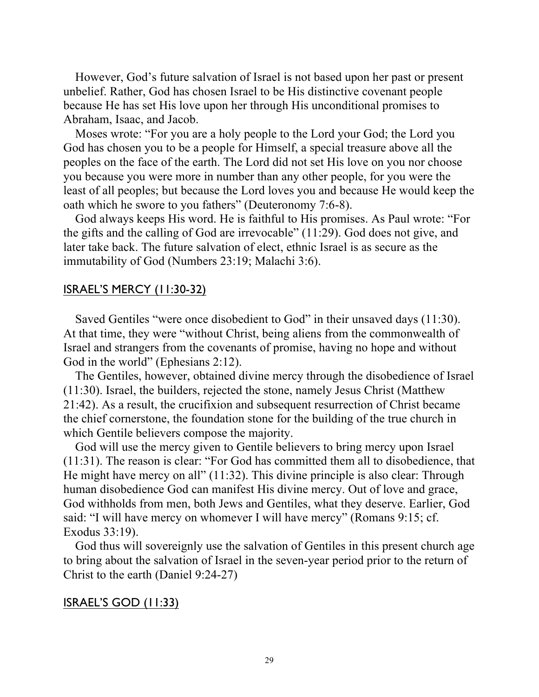However, God's future salvation of Israel is not based upon her past or present unbelief. Rather, God has chosen Israel to be His distinctive covenant people because He has set His love upon her through His unconditional promises to Abraham, Isaac, and Jacob.

Moses wrote: "For you are a holy people to the Lord your God; the Lord you God has chosen you to be a people for Himself, a special treasure above all the peoples on the face of the earth. The Lord did not set His love on you nor choose you because you were more in number than any other people, for you were the least of all peoples; but because the Lord loves you and because He would keep the oath which he swore to you fathers" (Deuteronomy 7:6-8).

God always keeps His word. He is faithful to His promises. As Paul wrote: "For the gifts and the calling of God are irrevocable" (11:29). God does not give, and later take back. The future salvation of elect, ethnic Israel is as secure as the immutability of God (Numbers 23:19; Malachi 3:6).

#### ISRAEL'S MERCY (11:30-32)

Saved Gentiles "were once disobedient to God" in their unsaved days (11:30). At that time, they were "without Christ, being aliens from the commonwealth of Israel and strangers from the covenants of promise, having no hope and without God in the world" (Ephesians 2:12).

The Gentiles, however, obtained divine mercy through the disobedience of Israel (11:30). Israel, the builders, rejected the stone, namely Jesus Christ (Matthew 21:42). As a result, the crucifixion and subsequent resurrection of Christ became the chief cornerstone, the foundation stone for the building of the true church in which Gentile believers compose the majority.

God will use the mercy given to Gentile believers to bring mercy upon Israel (11:31). The reason is clear: "For God has committed them all to disobedience, that He might have mercy on all" (11:32). This divine principle is also clear: Through human disobedience God can manifest His divine mercy. Out of love and grace, God withholds from men, both Jews and Gentiles, what they deserve. Earlier, God said: "I will have mercy on whomever I will have mercy" (Romans 9:15; cf. Exodus 33:19).

God thus will sovereignly use the salvation of Gentiles in this present church age to bring about the salvation of Israel in the seven-year period prior to the return of Christ to the earth (Daniel 9:24-27)

ISRAEL'S GOD (11:33)